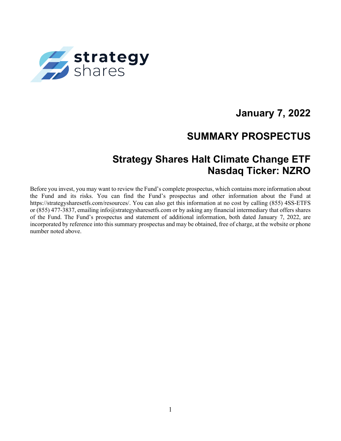

# **January 7, 2022**

## **SUMMARY PROSPECTUS**

## **Strategy Shares Halt Climate Change ETF Nasdaq Ticker: NZRO**

Before you invest, you may want to review the Fund's complete prospectus, which contains more information about the Fund and its risks. You can find the Fund's prospectus and other information about the Fund at https://strategysharesetfs.com/resources/. You can also get this information at no cost by calling (855) 4SS-ETFS or (855) 477-3837, emailing info@strategysharesetfs.com or by asking any financial intermediary that offers shares of the Fund. The Fund's prospectus and statement of additional information, both dated January 7, 2022, are incorporated by reference into this summary prospectus and may be obtained, free of charge, at the website or phone number noted above.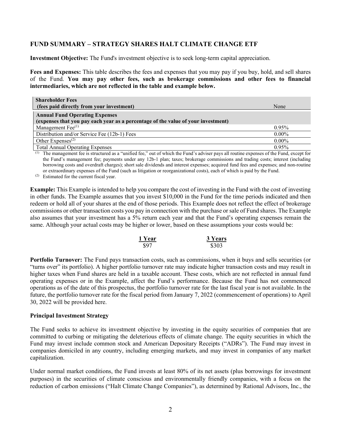### **FUND SUMMARY – STRATEGY SHARES HALT CLIMATE CHANGE ETF**

**Investment Objective:** The Fund's investment objective is to seek long-term capital appreciation.

**Fees and Expenses:** This table describes the fees and expenses that you may pay if you buy, hold, and sell shares of the Fund. **You may pay other fees, such as brokerage commissions and other fees to financial intermediaries, which are not reflected in the table and example below.**

| <b>Shareholder Fees</b>                                                                                                    |          |
|----------------------------------------------------------------------------------------------------------------------------|----------|
| (fees paid directly from your investment)                                                                                  | None     |
| <b>Annual Fund Operating Expenses</b><br>(expenses that you pay each year as a percentage of the value of your investment) |          |
| Management Fee <sup>(1)</sup>                                                                                              | $0.95\%$ |
| Distribution and/or Service Fee (12b-1) Fees                                                                               | $0.00\%$ |
| Other Expenses $(2)$                                                                                                       | $0.00\%$ |
| <b>Total Annual Operating Expenses</b>                                                                                     | 0.95%    |

(1) The management fee is structured as a "unified fee," out of which the Fund's adviser pays all routine expenses of the Fund, except for the Fund's management fee; payments under any 12b-1 plan; taxes; brokerage commissions and trading costs; interest (including borrowing costs and overdraft charges); short sale dividends and interest expenses; acquired fund fees and expenses; and non-routine or extraordinary expenses of the Fund (such as litigation or reorganizational costs), each of which is paid by the Fund.

(2) Estimated for the current fiscal year.

**Example:** This Example is intended to help you compare the cost of investing in the Fund with the cost of investing in other funds. The Example assumes that you invest \$10,000 in the Fund for the time periods indicated and then redeem or hold all of your shares at the end of those periods. This Example does not reflect the effect of brokerage commissions or other transaction costs you pay in connection with the purchase or sale of Fund shares. The Example also assumes that your investment has a 5% return each year and that the Fund's operating expenses remain the same. Although your actual costs may be higher or lower, based on these assumptions your costs would be:

| 1 Year | <b>3 Years</b> |
|--------|----------------|
| \$97   | \$303          |

**Portfolio Turnover:** The Fund pays transaction costs, such as commissions, when it buys and sells securities (or "turns over" its portfolio). A higher portfolio turnover rate may indicate higher transaction costs and may result in higher taxes when Fund shares are held in a taxable account. These costs, which are not reflected in annual fund operating expenses or in the Example, affect the Fund's performance. Because the Fund has not commenced operations as of the date of this prospectus, the portfolio turnover rate for the last fiscal year is not available. In the future, the portfolio turnover rate for the fiscal period from January 7, 2022 (commencement of operations) to April 30, 2022 will be provided here.

#### **Principal Investment Strategy**

The Fund seeks to achieve its investment objective by investing in the equity securities of companies that are committed to curbing or mitigating the deleterious effects of climate change. The equity securities in which the Fund may invest include common stock and American Depositary Receipts ("ADRs"). The Fund may invest in companies domiciled in any country, including emerging markets, and may invest in companies of any market capitalization.

Under normal market conditions, the Fund invests at least 80% of its net assets (plus borrowings for investment purposes) in the securities of climate conscious and environmentally friendly companies, with a focus on the reduction of carbon emissions ("Halt Climate Change Companies"), as determined by Rational Advisors, Inc., the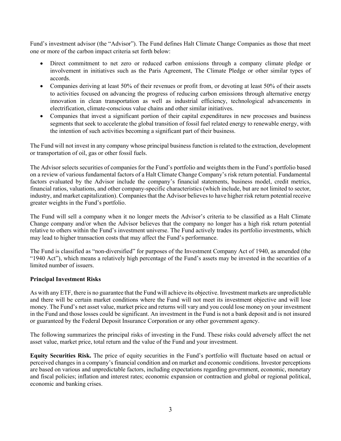Fund's investment advisor (the "Advisor"). The Fund defines Halt Climate Change Companies as those that meet one or more of the carbon impact criteria set forth below:

- Direct commitment to net zero or reduced carbon emissions through a company climate pledge or involvement in initiatives such as the Paris Agreement, The Climate Pledge or other similar types of accords.
- Companies deriving at least 50% of their revenues or profit from, or devoting at least 50% of their assets to activities focused on advancing the progress of reducing carbon emissions through alternative energy innovation in clean transportation as well as industrial efficiency, technological advancements in electrification, climate-conscious value chains and other similar initiatives.
- Companies that invest a significant portion of their capital expenditures in new processes and business segments that seek to accelerate the global transition of fossil fuel related energy to renewable energy, with the intention of such activities becoming a significant part of their business.

The Fund will not invest in any company whose principal business function is related to the extraction, development or transportation of oil, gas or other fossil fuels.

The Advisor selects securities of companies for the Fund's portfolio and weights them in the Fund's portfolio based on a review of various fundamental factors of a Halt Climate Change Company's risk return potential. Fundamental factors evaluated by the Advisor include the company's financial statements, business model, credit metrics, financial ratios, valuations, and other company-specific characteristics (which include, but are not limited to sector, industry, and market capitalization). Companies that the Advisor believes to have higher risk return potential receive greater weights in the Fund's portfolio.

The Fund will sell a company when it no longer meets the Advisor's criteria to be classified as a Halt Climate Change company and/or when the Advisor believes that the company no longer has a high risk return potential relative to others within the Fund's investment universe. The Fund actively trades its portfolio investments, which may lead to higher transaction costs that may affect the Fund's performance.

The Fund is classified as "non-diversified" for purposes of the Investment Company Act of 1940, as amended (the "1940 Act"), which means a relatively high percentage of the Fund's assets may be invested in the securities of a limited number of issuers.

#### **Principal Investment Risks**

As with any ETF, there is no guarantee that the Fund will achieve its objective. Investment markets are unpredictable and there will be certain market conditions where the Fund will not meet its investment objective and will lose money. The Fund's net asset value, market price and returns will vary and you could lose money on your investment in the Fund and those losses could be significant. An investment in the Fund is not a bank deposit and is not insured or guaranteed by the Federal Deposit Insurance Corporation or any other government agency.

The following summarizes the principal risks of investing in the Fund. These risks could adversely affect the net asset value, market price, total return and the value of the Fund and your investment.

**Equity Securities Risk.** The price of equity securities in the Fund's portfolio will fluctuate based on actual or perceived changes in a company's financial condition and on market and economic conditions. Investor perceptions are based on various and unpredictable factors, including expectations regarding government, economic, monetary and fiscal policies; inflation and interest rates; economic expansion or contraction and global or regional political, economic and banking crises.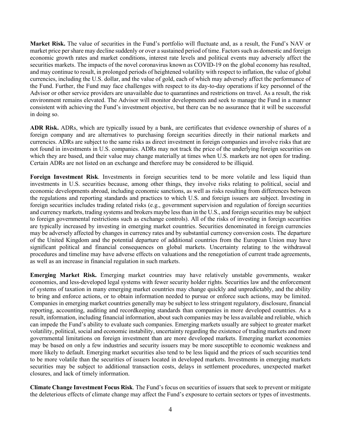**Market Risk.** The value of securities in the Fund's portfolio will fluctuate and, as a result, the Fund's NAV or market price per share may decline suddenly or over a sustained period of time. Factors such as domestic and foreign economic growth rates and market conditions, interest rate levels and political events may adversely affect the securities markets. The impacts of the novel coronavirus known as COVID-19 on the global economy has resulted, and may continue to result, in prolonged periods of heightened volatility with respect to inflation, the value of global currencies, including the U.S. dollar, and the value of gold, each of which may adversely affect the performance of the Fund. Further, the Fund may face challenges with respect to its day-to-day operations if key personnel of the Advisor or other service providers are unavailable due to quarantines and restrictions on travel. As a result, the risk environment remains elevated. The Advisor will monitor developments and seek to manage the Fund in a manner consistent with achieving the Fund's investment objective, but there can be no assurance that it will be successful in doing so.

**ADR Risk.** ADRs, which are typically issued by a bank, are certificates that evidence ownership of shares of a foreign company and are alternatives to purchasing foreign securities directly in their national markets and currencies. ADRs are subject to the same risks as direct investment in foreign companies and involve risks that are not found in investments in U.S. companies. ADRs may not track the price of the underlying foreign securities on which they are based, and their value may change materially at times when U.S. markets are not open for trading. Certain ADRs are not listed on an exchange and therefore may be considered to be illiquid.

**Foreign Investment Risk**. Investments in foreign securities tend to be more volatile and less liquid than investments in U.S. securities because, among other things, they involve risks relating to political, social and economic developments abroad, including economic sanctions, as well as risks resulting from differences between the regulations and reporting standards and practices to which U.S. and foreign issuers are subject. Investing in foreign securities includes trading related risks (e.g., government supervision and regulation of foreign securities and currency markets, trading systems and brokers maybe less than in the U.S., and foreign securities may be subject to foreign governmental restrictions such as exchange controls). All of the risks of investing in foreign securities are typically increased by investing in emerging market countries. Securities denominated in foreign currencies may be adversely affected by changes in currency rates and by substantial currency conversion costs. The departure of the United Kingdom and the potential departure of additional countries from the European Union may have significant political and financial consequences on global markets. Uncertainty relating to the withdrawal procedures and timeline may have adverse effects on valuations and the renegotiation of current trade agreements, as well as an increase in financial regulation in such markets.

**Emerging Market Risk.** Emerging market countries may have relatively unstable governments, weaker economies, and less-developed legal systems with fewer security holder rights. Securities law and the enforcement of systems of taxation in many emerging market countries may change quickly and unpredictably, and the ability to bring and enforce actions, or to obtain information needed to pursue or enforce such actions, may be limited. Companies in emerging market countries generally may be subject to less stringent regulatory, disclosure, financial reporting, accounting, auditing and recordkeeping standards than companies in more developed countries. As a result, information, including financial information, about such companies may be less available and reliable, which can impede the Fund's ability to evaluate such companies. Emerging markets usually are subject to greater market volatility, political, social and economic instability, uncertainty regarding the existence of trading markets and more governmental limitations on foreign investment than are more developed markets. Emerging market economies may be based on only a few industries and security issuers may be more susceptible to economic weakness and more likely to default. Emerging market securities also tend to be less liquid and the prices of such securities tend to be more volatile than the securities of issuers located in developed markets. Investments in emerging markets securities may be subject to additional transaction costs, delays in settlement procedures, unexpected market closures, and lack of timely information.

**Climate Change Investment Focus Risk**. The Fund's focus on securities of issuers that seek to prevent or mitigate the deleterious effects of climate change may affect the Fund's exposure to certain sectors or types of investments.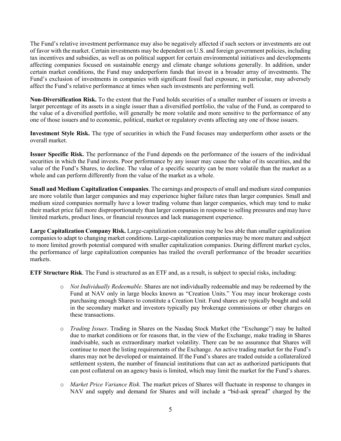The Fund's relative investment performance may also be negatively affected if such sectors or investments are out of favor with the market. Certain investments may be dependent on U.S. and foreign government policies, including tax incentives and subsidies, as well as on political support for certain environmental initiatives and developments affecting companies focused on sustainable energy and climate change solutions generally. In addition, under certain market conditions, the Fund may underperform funds that invest in a broader array of investments. The Fund's exclusion of investments in companies with significant fossil fuel exposure, in particular, may adversely affect the Fund's relative performance at times when such investments are performing well.

**Non-Diversification Risk.** To the extent that the Fund holds securities of a smaller number of issuers or invests a larger percentage of its assets in a single issuer than a diversified portfolio, the value of the Fund, as compared to the value of a diversified portfolio, will generally be more volatile and more sensitive to the performance of any one of those issuers and to economic, political, market or regulatory events affecting any one of those issuers.

**Investment Style Risk.** The type of securities in which the Fund focuses may underperform other assets or the overall market.

**Issuer Specific Risk.** The performance of the Fund depends on the performance of the issuers of the individual securities in which the Fund invests. Poor performance by any issuer may cause the value of its securities, and the value of the Fund's Shares, to decline. The value of a specific security can be more volatile than the market as a whole and can perform differently from the value of the market as a whole.

**Small and Medium Capitalization Companies**. The earnings and prospects of small and medium sized companies are more volatile than larger companies and may experience higher failure rates than larger companies. Small and medium sized companies normally have a lower trading volume than larger companies, which may tend to make their market price fall more disproportionately than larger companies in response to selling pressures and may have limited markets, product lines, or financial resources and lack management experience.

**Large Capitalization Company Risk.** Large-capitalization companies may be less able than smaller capitalization companies to adapt to changing market conditions. Large-capitalization companies may be more mature and subject to more limited growth potential compared with smaller capitalization companies. During different market cycles, the performance of large capitalization companies has trailed the overall performance of the broader securities markets.

**ETF Structure Risk**. The Fund is structured as an ETF and, as a result, is subject to special risks, including:

- o *Not Individually Redeemable*. Shares are not individually redeemable and may be redeemed by the Fund at NAV only in large blocks known as "Creation Units." You may incur brokerage costs purchasing enough Shares to constitute a Creation Unit. Fund shares are typically bought and sold in the secondary market and investors typically pay brokerage commissions or other charges on these transactions.
- o *Trading Issues*. Trading in Shares on the Nasdaq Stock Market (the "Exchange") may be halted due to market conditions or for reasons that, in the view of the Exchange, make trading in Shares inadvisable, such as extraordinary market volatility. There can be no assurance that Shares will continue to meet the listing requirements of the Exchange. An active trading market for the Fund's shares may not be developed or maintained. If the Fund's shares are traded outside a collateralized settlement system, the number of financial institutions that can act as authorized participants that can post collateral on an agency basis is limited, which may limit the market for the Fund's shares.
- o *Market Price Variance Risk*. The market prices of Shares will fluctuate in response to changes in NAV and supply and demand for Shares and will include a "bid-ask spread" charged by the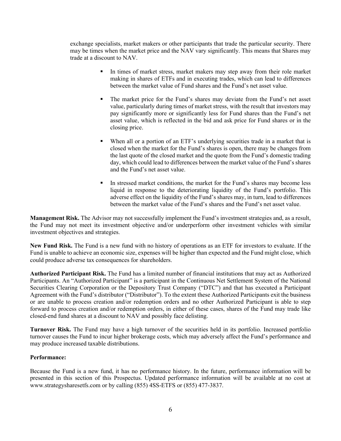exchange specialists, market makers or other participants that trade the particular security. There may be times when the market price and the NAV vary significantly. This means that Shares may trade at a discount to NAV.

- In times of market stress, market makers may step away from their role market making in shares of ETFs and in executing trades, which can lead to differences between the market value of Fund shares and the Fund's net asset value.
- The market price for the Fund's shares may deviate from the Fund's net asset value, particularly during times of market stress, with the result that investors may pay significantly more or significantly less for Fund shares than the Fund's net asset value, which is reflected in the bid and ask price for Fund shares or in the closing price.
- When all or a portion of an ETF's underlying securities trade in a market that is closed when the market for the Fund's shares is open, there may be changes from the last quote of the closed market and the quote from the Fund's domestic trading day, which could lead to differences between the market value of the Fund's shares and the Fund's net asset value.
- In stressed market conditions, the market for the Fund's shares may become less liquid in response to the deteriorating liquidity of the Fund's portfolio. This adverse effect on the liquidity of the Fund's shares may, in turn, lead to differences between the market value of the Fund's shares and the Fund's net asset value.

**Management Risk.** The Advisor may not successfully implement the Fund's investment strategies and, as a result, the Fund may not meet its investment objective and/or underperform other investment vehicles with similar investment objectives and strategies.

**New Fund Risk.** The Fund is a new fund with no history of operations as an ETF for investors to evaluate. If the Fund is unable to achieve an economic size, expenses will be higher than expected and the Fund might close, which could produce adverse tax consequences for shareholders.

**Authorized Participant Risk.** The Fund has a limited number of financial institutions that may act as Authorized Participants. An "Authorized Participant" is a participant in the Continuous Net Settlement System of the National Securities Clearing Corporation or the Depository Trust Company ("DTC") and that has executed a Participant Agreement with the Fund's distributor ("Distributor"). To the extent these Authorized Participants exit the business or are unable to process creation and/or redemption orders and no other Authorized Participant is able to step forward to process creation and/or redemption orders, in either of these cases, shares of the Fund may trade like closed-end fund shares at a discount to NAV and possibly face delisting.

**Turnover Risk.** The Fund may have a high turnover of the securities held in its portfolio. Increased portfolio turnover causes the Fund to incur higher brokerage costs, which may adversely affect the Fund's performance and may produce increased taxable distributions.

#### **Performance:**

Because the Fund is a new fund, it has no performance history. In the future, performance information will be presented in this section of this Prospectus. Updated performance information will be available at no cost at www.strategysharesetfs.com or by calling (855) 4SS-ETFS or (855) 477-3837.